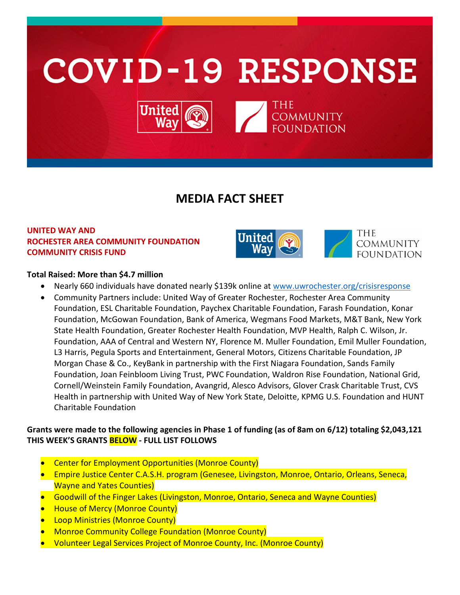

# **MEDIA FACT SHEET**

## **UNITED WAY AND ROCHESTER AREA COMMUNITY FOUNDATION COMMUNITY CRISIS FUND**



## **Total Raised: More than \$4.7 million**

- Nearly 660 individuals have donated nearly \$139k online at [www.uwrochester.org/crisisresponse](http://www.uwrochester.org/crisisresponse)
- Community Partners include: United Way of Greater Rochester, Rochester Area Community Foundation, ESL Charitable Foundation, Paychex Charitable Foundation, Farash Foundation, Konar Foundation, McGowan Foundation, Bank of America, Wegmans Food Markets, M&T Bank, New York State Health Foundation, Greater Rochester Health Foundation, MVP Health, Ralph C. Wilson, Jr. Foundation, AAA of Central and Western NY, Florence M. Muller Foundation, Emil Muller Foundation, L3 Harris, Pegula Sports and Entertainment, General Motors, Citizens Charitable Foundation, JP Morgan Chase & Co., KeyBank in partnership with the First Niagara Foundation, Sands Family Foundation, Joan Feinbloom Living Trust, PWC Foundation, Waldron Rise Foundation, National Grid, Cornell/Weinstein Family Foundation, Avangrid, Alesco Advisors, Glover Crask Charitable Trust, CVS Health in partnership with United Way of New York State, Deloitte, KPMG U.S. Foundation and HUNT Charitable Foundation

## **Grants were made to the following agencies in Phase 1 of funding (as of 8am on 6/12) totaling \$2,043,121 THIS WEEK'S GRANTS BELOW - FULL LIST FOLLOWS**

- Center for Employment Opportunities (Monroe County)
- Empire Justice Center C.A.S.H. program (Genesee, Livingston, Monroe, Ontario, Orleans, Seneca, Wayne and Yates Counties)
- Goodwill of the Finger Lakes (Livingston, Monroe, Ontario, Seneca and Wayne Counties)
- House of Mercy (Monroe County)
- **Loop Ministries (Monroe County)**
- Monroe Community College Foundation (Monroe County)
- Volunteer Legal Services Project of Monroe County, Inc. (Monroe County)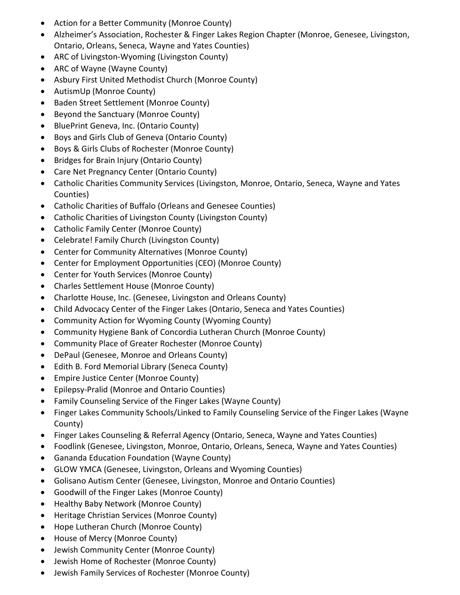- Action for a Better Community (Monroe County)
- Alzheimer's Association, Rochester & Finger Lakes Region Chapter (Monroe, Genesee, Livingston, Ontario, Orleans, Seneca, Wayne and Yates Counties)
- ARC of Livingston-Wyoming (Livingston County)
- ARC of Wayne (Wayne County)
- Asbury First United Methodist Church (Monroe County)
- AutismUp (Monroe County)
- Baden Street Settlement (Monroe County)
- Beyond the Sanctuary (Monroe County)
- BluePrint Geneva, Inc. (Ontario County)
- Boys and Girls Club of Geneva (Ontario County)
- Boys & Girls Clubs of Rochester (Monroe County)
- Bridges for Brain Injury (Ontario County)
- Care Net Pregnancy Center (Ontario County)
- Catholic Charities Community Services (Livingston, Monroe, Ontario, Seneca, Wayne and Yates Counties)
- Catholic Charities of Buffalo (Orleans and Genesee Counties)
- Catholic Charities of Livingston County (Livingston County)
- Catholic Family Center (Monroe County)
- Celebrate! Family Church (Livingston County)
- Center for Community Alternatives (Monroe County)
- Center for Employment Opportunities (CEO) (Monroe County)
- Center for Youth Services (Monroe County)
- Charles Settlement House (Monroe County)
- Charlotte House, Inc. (Genesee, Livingston and Orleans County)
- Child Advocacy Center of the Finger Lakes (Ontario, Seneca and Yates Counties)
- Community Action for Wyoming County (Wyoming County)
- Community Hygiene Bank of Concordia Lutheran Church (Monroe County)
- Community Place of Greater Rochester (Monroe County)
- DePaul (Genesee, Monroe and Orleans County)
- Edith B. Ford Memorial Library (Seneca County)
- Empire Justice Center (Monroe County)
- Epilepsy-Pralid (Monroe and Ontario Counties)
- Family Counseling Service of the Finger Lakes (Wayne County)
- Finger Lakes Community Schools/Linked to Family Counseling Service of the Finger Lakes (Wayne County)
- Finger Lakes Counseling & Referral Agency (Ontario, Seneca, Wayne and Yates Counties)
- Foodlink (Genesee, Livingston, Monroe, Ontario, Orleans, Seneca, Wayne and Yates Counties)
- Gananda Education Foundation (Wayne County)
- GLOW YMCA (Genesee, Livingston, Orleans and Wyoming Counties)
- Golisano Autism Center (Genesee, Livingston, Monroe and Ontario Counties)
- Goodwill of the Finger Lakes (Monroe County)
- Healthy Baby Network (Monroe County)
- Heritage Christian Services (Monroe County)
- Hope Lutheran Church (Monroe County)
- House of Mercy (Monroe County)
- Jewish Community Center (Monroe County)
- Jewish Home of Rochester (Monroe County)
- Jewish Family Services of Rochester (Monroe County)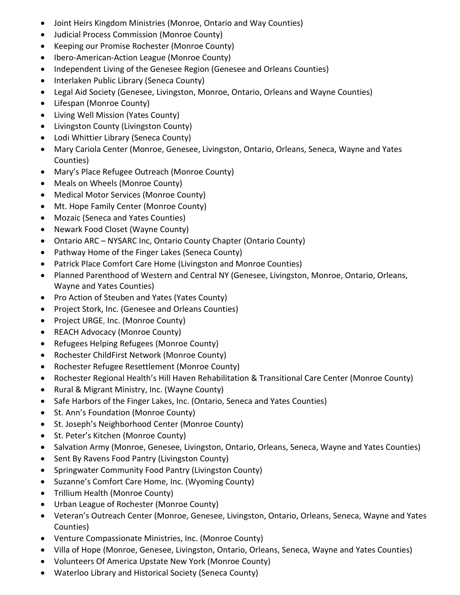- Joint Heirs Kingdom Ministries (Monroe, Ontario and Way Counties)
- Judicial Process Commission (Monroe County)
- Keeping our Promise Rochester (Monroe County)
- Ibero-American-Action League (Monroe County)
- Independent Living of the Genesee Region (Genesee and Orleans Counties)
- Interlaken Public Library (Seneca County)
- Legal Aid Society (Genesee, Livingston, Monroe, Ontario, Orleans and Wayne Counties)
- Lifespan (Monroe County)
- Living Well Mission (Yates County)
- Livingston County (Livingston County)
- Lodi Whittier Library (Seneca County)
- Mary Cariola Center (Monroe, Genesee, Livingston, Ontario, Orleans, Seneca, Wayne and Yates Counties)
- Mary's Place Refugee Outreach (Monroe County)
- Meals on Wheels (Monroe County)
- Medical Motor Services (Monroe County)
- Mt. Hope Family Center (Monroe County)
- Mozaic (Seneca and Yates Counties)
- Newark Food Closet (Wayne County)
- Ontario ARC NYSARC Inc, Ontario County Chapter (Ontario County)
- Pathway Home of the Finger Lakes (Seneca County)
- Patrick Place Comfort Care Home (Livingston and Monroe Counties)
- Planned Parenthood of Western and Central NY (Genesee, Livingston, Monroe, Ontario, Orleans, Wayne and Yates Counties)
- Pro Action of Steuben and Yates (Yates County)
- Project Stork, Inc. (Genesee and Orleans Counties)
- Project URGE, Inc. (Monroe County)
- REACH Advocacy (Monroe County)
- Refugees Helping Refugees (Monroe County)
- Rochester ChildFirst Network (Monroe County)
- Rochester Refugee Resettlement (Monroe County)
- Rochester Regional Health's Hill Haven Rehabilitation & Transitional Care Center (Monroe County)
- Rural & Migrant Ministry, Inc. (Wayne County)
- Safe Harbors of the Finger Lakes, Inc. (Ontario, Seneca and Yates Counties)
- St. Ann's Foundation (Monroe County)
- St. Joseph's Neighborhood Center (Monroe County)
- St. Peter's Kitchen (Monroe County)
- Salvation Army (Monroe, Genesee, Livingston, Ontario, Orleans, Seneca, Wayne and Yates Counties)
- Sent By Ravens Food Pantry (Livingston County)
- Springwater Community Food Pantry (Livingston County)
- Suzanne's Comfort Care Home, Inc. (Wyoming County)
- Trillium Health (Monroe County)
- Urban League of Rochester (Monroe County)
- Veteran's Outreach Center (Monroe, Genesee, Livingston, Ontario, Orleans, Seneca, Wayne and Yates Counties)
- Venture Compassionate Ministries, Inc. (Monroe County)
- Villa of Hope (Monroe, Genesee, Livingston, Ontario, Orleans, Seneca, Wayne and Yates Counties)
- Volunteers Of America Upstate New York (Monroe County)
- Waterloo Library and Historical Society (Seneca County)